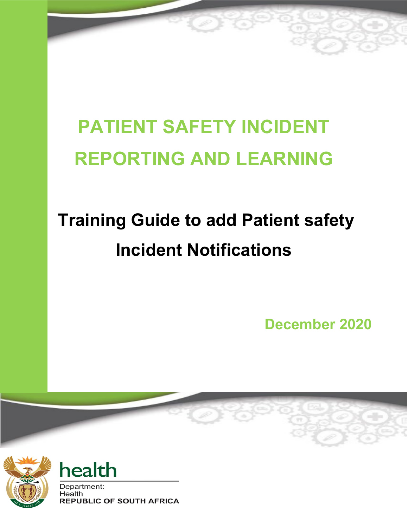# **PATIENT SAFETY INCIDENT REPORTING AND LEARNING**

# **Training Guide to add Patient safety Incident Notifications**

 **December 2020**





Department: Health **REPUBLIC OF SOUTH AFRICA**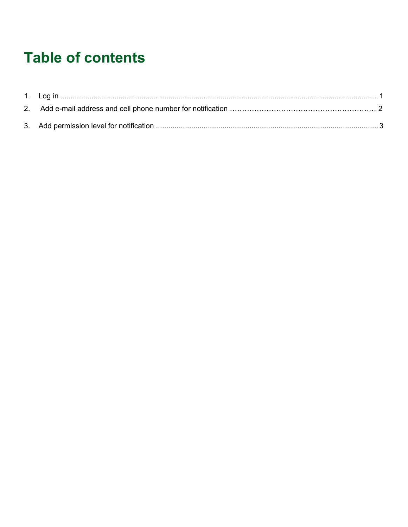## **Table of contents**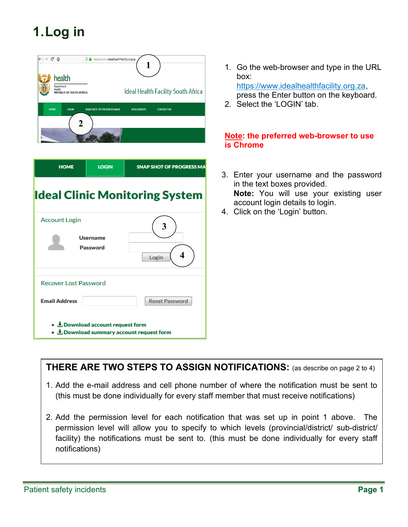### <span id="page-2-0"></span>**1.Log in**



| <b>HOME</b>                                                                            | <b>LOGIN</b>                       | <b>SNAP SHOT OF PROGRESS MA</b> |  |  |  |  |
|----------------------------------------------------------------------------------------|------------------------------------|---------------------------------|--|--|--|--|
| <b>Ideal Clinic Monitoring System</b>                                                  |                                    |                                 |  |  |  |  |
| <b>Account Login</b>                                                                   | <b>Username</b><br><b>Password</b> | 3<br>4<br>Login                 |  |  |  |  |
| <b>Recover Lost Password</b><br><b>Email Address</b><br><b>Reset Password</b>          |                                    |                                 |  |  |  |  |
| • $\pm$ Download account request form<br>• $\pm$ Download summary account request form |                                    |                                 |  |  |  |  |

- 1. Go the web-browser and type in the URL box: [https://www.idealhealthfacility.org.za,](https://www.idealhealthfacility.org.za/) press the Enter button on the keyboard.
- 2. Select the 'LOGIN' tab.

#### **Note: the preferred web-browser to use is Chrome**

- 3. Enter your username and the password in the text boxes provided. **Note:** You will use your existing user account login details to login.
- 4. Click on the 'Login' button.

**THERE ARE TWO STEPS TO ASSIGN NOTIFICATIONS:** (as describe on page 2 to 4)

- 1. Add the e-mail address and cell phone number of where the notification must be sent to (this must be done individually for every staff member that must receive notifications)
- 2. Add the permission level for each notification that was set up in point 1 above. The permission level will allow you to specify to which levels (provincial/district/ sub-district/ facility) the notifications must be sent to. (this must be done individually for every staff notifications)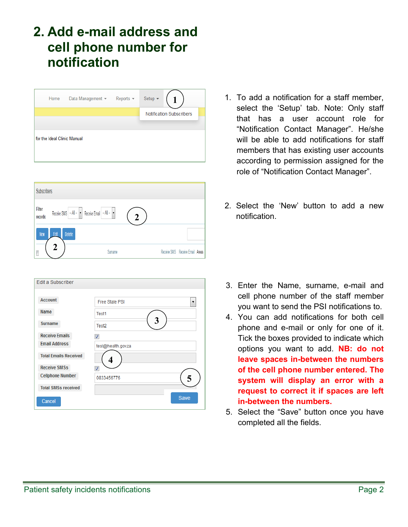#### **2. Add e-mail address and cell phone number for notification**

| Home                        | Data Management ▼ | $Reports =$ | Setup $\blacktriangledown$ |                                 |  |
|-----------------------------|-------------------|-------------|----------------------------|---------------------------------|--|
|                             |                   |             |                            | <b>Notification Subscribers</b> |  |
|                             |                   |             |                            |                                 |  |
| for the Ideal Clinic Manual |                   |             |                            |                                 |  |

| <b>Subscribers</b> |                                                  |              |                                 |
|--------------------|--------------------------------------------------|--------------|---------------------------------|
| Filter<br>records: | Receive SMS - All -  v  Receive Email - All -  v | $\mathbf{2}$ |                                 |
| <b>New</b>         | <b>Delete</b><br>Edit                            |              |                                 |
| $\Box$             | 2<br>Sumame                                      |              | Receive SMS Receive Email Areas |

| Edit a Subscriber            |                        |      |  |  |  |
|------------------------------|------------------------|------|--|--|--|
|                              |                        |      |  |  |  |
| <b>Account</b>               | Free State PSI         | ▼    |  |  |  |
| <b>Name</b>                  | Test1                  |      |  |  |  |
| <b>Surname</b>               | 3<br>Test <sub>2</sub> |      |  |  |  |
| <b>Receive Emails</b>        | ⊽                      |      |  |  |  |
| <b>Email Address</b>         | test@health.gov.za     |      |  |  |  |
| <b>Total Emails Received</b> |                        |      |  |  |  |
| <b>Receive SMSs</b>          | ☑                      |      |  |  |  |
| <b>Cellphone Number</b>      | 0833456776             | 5    |  |  |  |
| <b>Total SMSs received</b>   |                        |      |  |  |  |
| Cancel                       |                        | Save |  |  |  |

- 1. To add a notification for a staff member, select the 'Setup' tab. Note: Only staff that has a user account role for "Notification Contact Manager". He/she will be able to add notifications for staff members that has existing user accounts according to permission assigned for the role of "Notification Contact Manager".
- 2. Select the 'New' button to add a new notification.

- 3. Enter the Name, surname, e-mail and cell phone number of the staff member you want to send the PSI notifications to.
- 4. You can add notifications for both cell phone and e-mail or only for one of it. Tick the boxes provided to indicate which options you want to add. **NB: do not leave spaces in-between the numbers of the cell phone number entered. The system will display an error with a request to correct it if spaces are left in-between the numbers.**
- 5. Select the "Save" button once you have completed all the fields.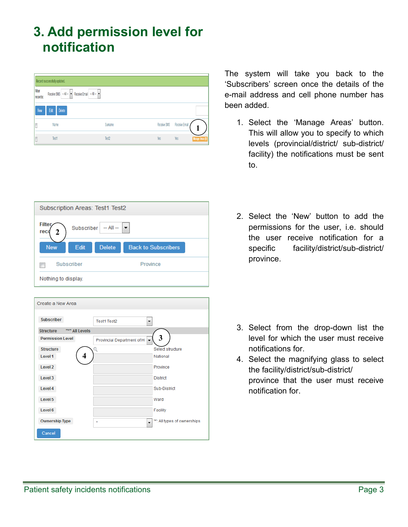### <span id="page-4-0"></span>**3. Add permission level for notification**

| Record successfully updated. |                |                                                                                                                                                  |         |  |             |               |                          |
|------------------------------|----------------|--------------------------------------------------------------------------------------------------------------------------------------------------|---------|--|-------------|---------------|--------------------------|
| Filter<br>records:           |                | Receive SMS - All -<br><br><br><br>Receive Email - All -<br><br><br><br><br><br><br><br><br><br><br><br><br><br><br><br><br><br><br><br><br><br> |         |  |             |               |                          |
| New                          | Edit<br>Delete |                                                                                                                                                  |         |  |             |               |                          |
| E                            | Name           |                                                                                                                                                  | Surname |  | Receive SMS | Receive Email |                          |
| I                            | Test1          |                                                                                                                                                  | Test2   |  | Yes         | Yes           | <b>Manage: Areas (0)</b> |

| Subscription Areas: Test1 Test2                             |      |               |                            |  |
|-------------------------------------------------------------|------|---------------|----------------------------|--|
| <b>Filter</b><br>Subscriber $ -$ All $  $ $\bullet$<br>reco |      |               |                            |  |
| <b>New</b>                                                  | Edit | <b>Delete</b> | <b>Back to Subscribers</b> |  |
| Subscriber<br>Province                                      |      |               |                            |  |
| Nothing to display.                                         |      |               |                            |  |

| Create a New Area                  |                                                    |                              |  |  |  |
|------------------------------------|----------------------------------------------------|------------------------------|--|--|--|
| <b>Subscriber</b>                  | <b>Test1 Test2</b>                                 |                              |  |  |  |
| <b>Structure</b><br>"*" All Levels |                                                    |                              |  |  |  |
| <b>Permission Level</b>            | Provincial Department of H<br>$\blacktriangledown$ | 3                            |  |  |  |
| <b>Structure</b>                   | Q                                                  | Select structure             |  |  |  |
| Level 1<br>4                       |                                                    | National                     |  |  |  |
| Level 2                            |                                                    | Province                     |  |  |  |
| Level 3                            |                                                    | <b>District</b>              |  |  |  |
| Level 4                            |                                                    | Sub-District                 |  |  |  |
| Level 5                            |                                                    | Ward                         |  |  |  |
| Level 6                            |                                                    | Facility                     |  |  |  |
| <b>Ownership Type</b>              | $\ddot{\phantom{0}}$<br>$\star$                    | "*": All types of ownerships |  |  |  |
| Cancel                             |                                                    |                              |  |  |  |

The system will take you back to the 'Subscribers' screen once the details of the e-mail address and cell phone number has been added.

- 1. Select the 'Manage Areas' button. This will allow you to specify to which levels (provincial/district/ sub-district/ facility) the notifications must be sent to.
- 2. Select the 'New' button to add the permissions for the user, i.e. should the user receive notification for a specific facility/district/sub-district/ province.

- 3. Select from the drop-down list the level for which the user must receive notifications for.
- 4. Select the magnifying glass to select the facility/district/sub-district/ province that the user must receive notification for.